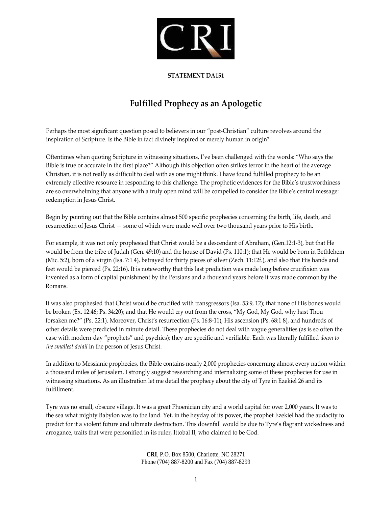

## **STATEMENT DA151**

## **Fulfilled Prophecy as an Apologetic**

Perhaps the most significant question posed to believers in our "post‐Christian" culture revolves around the inspiration of Scripture. Is the Bible in fact divinely inspired or merely human in origin?

Oftentimes when quoting Scripture in witnessing situations, I've been challenged with the words: "Who says the Bible is true or accurate in the first place?" Although this objection often strikes terror in the heart of the average Christian, it is not really as difficult to deal with as one might think. I have found fulfilled prophecy to be an extremely effective resource in responding to this challenge. The prophetic evidences for the Bible's trustworthiness are so overwhelming that anyone with a truly open mind will be compelled to consider the Bible's central message: redemption in Jesus Christ.

Begin by pointing out that the Bible contains almost 500 specific prophecies concerning the birth, life, death, and resurrection of Jesus Christ — some of which were made well over two thousand years prior to His birth.

For example, it was not only prophesied that Christ would be a descendant of Abraham, (Gen.12:1‐3), but that He would be from the tribe of Judah (Gen. 49:10) and the house of David (Ps. 110:1); that He would be born in Bethlehem (Mic. 5:2), born of a virgin (Isa. 7:1 4), betrayed for thirty pieces of silver (Zech. 11:12f.), and also that His hands and feet would be pierced (Ps. 22:16). It is noteworthy that this last prediction was made long before crucifixion was invented as a form of capital punishment by the Persians and a thousand years before it was made common by the Romans.

It was also prophesied that Christ would be crucified with transgressors (Isa. 53:9, 12); that none of His bones would be broken (Ex. 12:46; Ps. 34:20); and that He would cry out from the cross, "My God, My God, why hast Thou forsaken me?" (Ps*.* 22:1). Moreover, Christ's resurrection (Ps. 16:8‐11), His ascension (Ps. 68:1 8), and hundreds of other details were predicted in minute detail. These prophecies do not deal with vague generalities (as is so often the case with modern‐day "prophets" and psychics); they are specific and verifiable. Each was literally fulfilled *down to the smallest detail* in the person of Jesus Christ.

In addition to Messianic prophecies, the Bible contains nearly 2,000 prophecies concerning almost every nation within a thousand miles of Jerusalem. I strongly suggest researching and internalizing some of these prophecies for use in witnessing situations. As an illustration let me detail the prophecy about the city of Tyre in Ezekiel 26 and its fulfillment.

Tyre was no small, obscure village. It was a great Phoenician city and a world capital for over 2,000 years. It was to the sea what mighty Babylon was to the land. Yet, in the heyday of its power, the prophet Ezekiel had the audacity to predict for it a violent future and ultimate destruction. This downfall would be due to Tyre's flagrant wickedness and arrogance, traits that were personified in its ruler, Ittobal II, who claimed to be God.

> **CRI**, P.O. Box 8500, Charlotte, NC 28271 Phone (704) 887-8200 and Fax (704) 887-8299